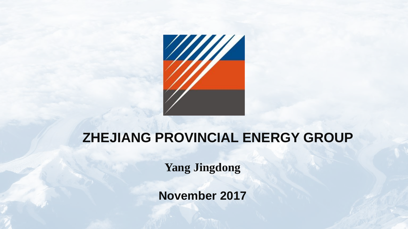

## **ZHEJIANG PROVINCIAL ENERGY GROUP**

**Yang Jingdong**

**November 2017**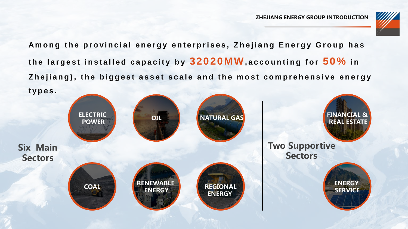

Among the provincial energy enterprises, Zhejiang Energy Group has the largest installed capacity by  $32020$ MW, accounting for  $50\%$  in Zhejiang), the biggest asset scale and the most comprehensive energy **t y p e s .**

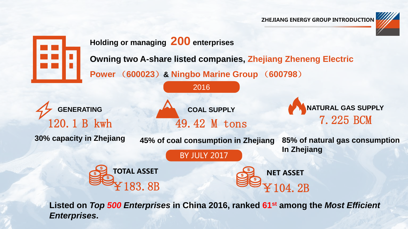



**Listed on** *Top 500 Enterprises* **in China 2016, ranked 61st among the** *Most Efficient Enterprises***.**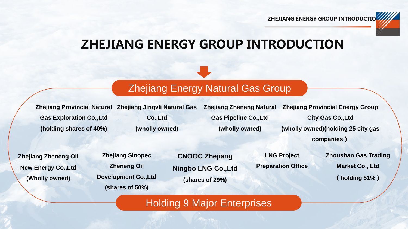

### Zhejiang Energy Natural Gas Group

**Zhejiang Provincial Natural Zhejiang Jinqvli Natural Gas Gas Exploration Co.,Ltd (holding shares of 40%)**

**Co.,Ltd (wholly owned)** **Zhejiang Zheneng Natural Gas Pipeline Co.,Ltd (wholly owned)**

**Zhejiang Provincial Energy Group City Gas Co.,Ltd (wholly owned)(holding 25 city gas companies**)

**Zhejiang Zheneng Oil New Energy Co.,Ltd (Wholly owned)**

**Zhejiang Sinopec Zheneng Oil Development Co.,Ltd (shares of 50%)**

**CNOOC Zhejiang Ningbo LNG Co.,Ltd (shares of 29%)**

**LNG Project Preparation Office** **Zhoushan Gas Trading Market Co., Ltd** (**holding 51%**)

#### Holding 9 Major Enterprises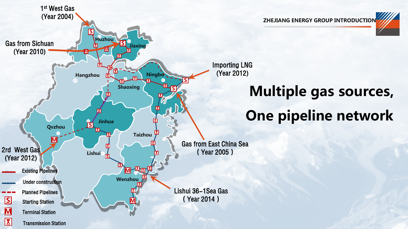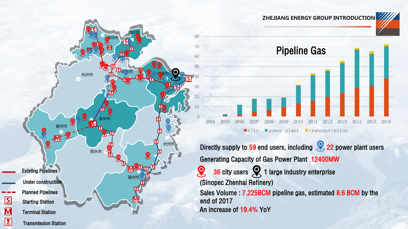



Sales Volume : 7.225BCM pipeline gas, estimated 8.6 BCM by the end of 2017 An increase of 19.4% YoY  $36$  city users  $\left\{\right\}$  1 large industry enterprise (Sinopec Zhenhai Refinery)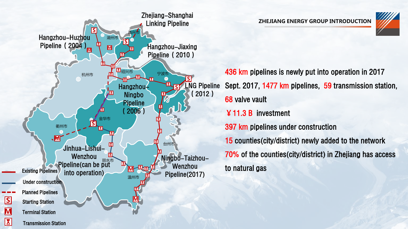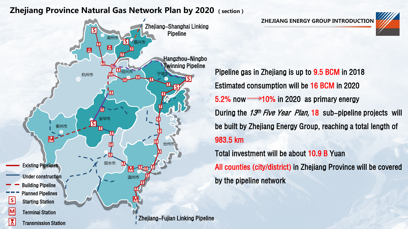#### Zhejiang Province Natural Gas Network Plan by 2020 (section)



ZHEJIANG ENERGY GROUP INTRODUCTION



Pipeline gas in Zhejiang is up to 9.5 BCM in 2018 Estimated consumption will be 16 BCM in 2020 5.2% now  $\rightarrow$  10% in 2020 as primary energy During the 13<sup>th</sup> Five Year Plan, 18 sub-pipeline projects will be built by Zhejiang Energy Group, reaching a total length of 983.5 km

Total investment will be about 10.9 B Yuan All counties (city/district) in Zhejiang Province will be covered by the pipeline network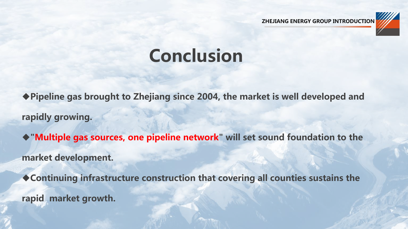

# Conclusion

Pipeline gas brought to Zhejiang since 2004, the market is well developed and rapidly growing.

"Multiple gas sources, one pipeline network" will set sound foundation to the market development.

Continuing infrastructure construction that covering all counties sustains the rapid market growth.